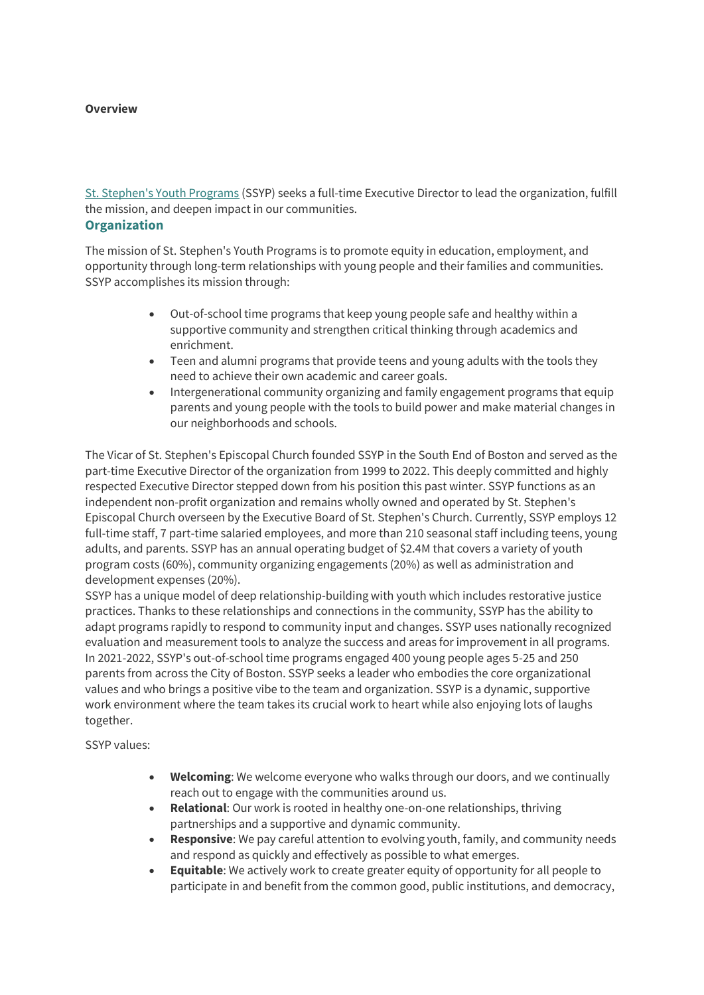#### **Overview**

St. Stephen's Youth Programs (SSYP) seeks a full-time Executive Director to lead the organization, fulfill the mission, and deepen impact in our communities. **Organization**

The mission of St. Stephen's Youth Programs is to promote equity in education, employment, and

opportunity through long-term relationships with young people and their families and communities. SSYP accomplishes its mission through:

- Out-of-school time programs that keep young people safe and healthy within a supportive community and strengthen critical thinking through academics and enrichment.
- Teen and alumni programs that provide teens and young adults with the tools they need to achieve their own academic and career goals.
- Intergenerational community organizing and family engagement programs that equip parents and young people with the tools to build power and make material changes in our neighborhoods and schools.

The Vicar of St. Stephen's Episcopal Church founded SSYP in the South End of Boston and served as the part-time Executive Director of the organization from 1999 to 2022. This deeply committed and highly respected Executive Director stepped down from his position this past winter. SSYP functions as an independent non-profit organization and remains wholly owned and operated by St. Stephen's Episcopal Church overseen by the Executive Board of St. Stephen's Church. Currently, SSYP employs 12 full-time staff, 7 part-time salaried employees, and more than 210 seasonal staff including teens, young adults, and parents. SSYP has an annual operating budget of \$2.4M that covers a variety of youth program costs (60%), community organizing engagements (20%) as well as administration and development expenses (20%).

SSYP has a unique model of deep relationship-building with youth which includes restorative justice practices. Thanks to these relationships and connections in the community, SSYP has the ability to adapt programs rapidly to respond to community input and changes. SSYP uses nationally recognized evaluation and measurement tools to analyze the success and areas for improvement in all programs. In 2021-2022, SSYP's out-of-school time programs engaged 400 young people ages 5-25 and 250 parents from across the City of Boston. SSYP seeks a leader who embodies the core organizational values and who brings a positive vibe to the team and organization. SSYP is a dynamic, supportive work environment where the team takes its crucial work to heart while also enjoying lots of laughs together.

SSYP values:

- **Welcoming**: We welcome everyone who walks through our doors, and we continually reach out to engage with the communities around us.
- **Relational**: Our work is rooted in healthy one-on-one relationships, thriving partnerships and a supportive and dynamic community.
- **Responsive**: We pay careful attention to evolving youth, family, and community needs and respond as quickly and effectively as possible to what emerges.
- **Equitable**: We actively work to create greater equity of opportunity for all people to participate in and benefit from the common good, public institutions, and democracy,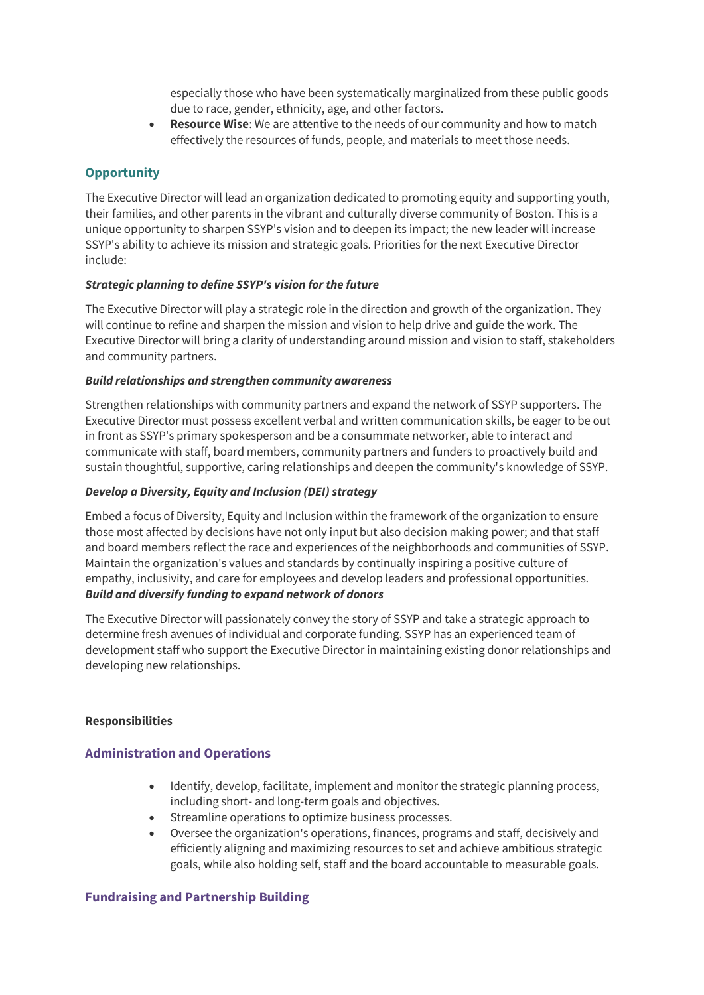especially those who have been systematically marginalized from these public goods due to race, gender, ethnicity, age, and other factors.

• **Resource Wise**: We are attentive to the needs of our community and how to match effectively the resources of funds, people, and materials to meet those needs.

# **Opportunity**

The Executive Director will lead an organization dedicated to promoting equity and supporting youth, their families, and other parents in the vibrant and culturally diverse community of Boston. This is a unique opportunity to sharpen SSYP's vision and to deepen its impact; the new leader will increase SSYP's ability to achieve its mission and strategic goals. Priorities for the next Executive Director include:

#### *Strategic planning to define SSYP's vision for the future*

The Executive Director will play a strategic role in the direction and growth of the organization. They will continue to refine and sharpen the mission and vision to help drive and guide the work. The Executive Director will bring a clarity of understanding around mission and vision to staff, stakeholders and community partners.

#### *Build relationships and strengthen community awareness*

Strengthen relationships with community partners and expand the network of SSYP supporters. The Executive Director must possess excellent verbal and written communication skills, be eager to be out in front as SSYP's primary spokesperson and be a consummate networker, able to interact and communicate with staff, board members, community partners and funders to proactively build and sustain thoughtful, supportive, caring relationships and deepen the community's knowledge of SSYP.

### *Develop a Diversity, Equity and Inclusion (DEI) strategy*

Embed a focus of Diversity, Equity and Inclusion within the framework of the organization to ensure those most affected by decisions have not only input but also decision making power; and that staff and board members reflect the race and experiences of the neighborhoods and communities of SSYP. Maintain the organization's values and standards by continually inspiring a positive culture of empathy, inclusivity, and care for employees and develop leaders and professional opportunities. *Build and diversify funding to expand network of donors*

The Executive Director will passionately convey the story of SSYP and take a strategic approach to determine fresh avenues of individual and corporate funding. SSYP has an experienced team of development staff who support the Executive Director in maintaining existing donor relationships and developing new relationships.

#### **Responsibilities**

## **Administration and Operations**

- Identify, develop, facilitate, implement and monitor the strategic planning process, including short- and long-term goals and objectives.
- Streamline operations to optimize business processes.
- Oversee the organization's operations, finances, programs and staff, decisively and efficiently aligning and maximizing resources to set and achieve ambitious strategic goals, while also holding self, staff and the board accountable to measurable goals.

## **Fundraising and Partnership Building**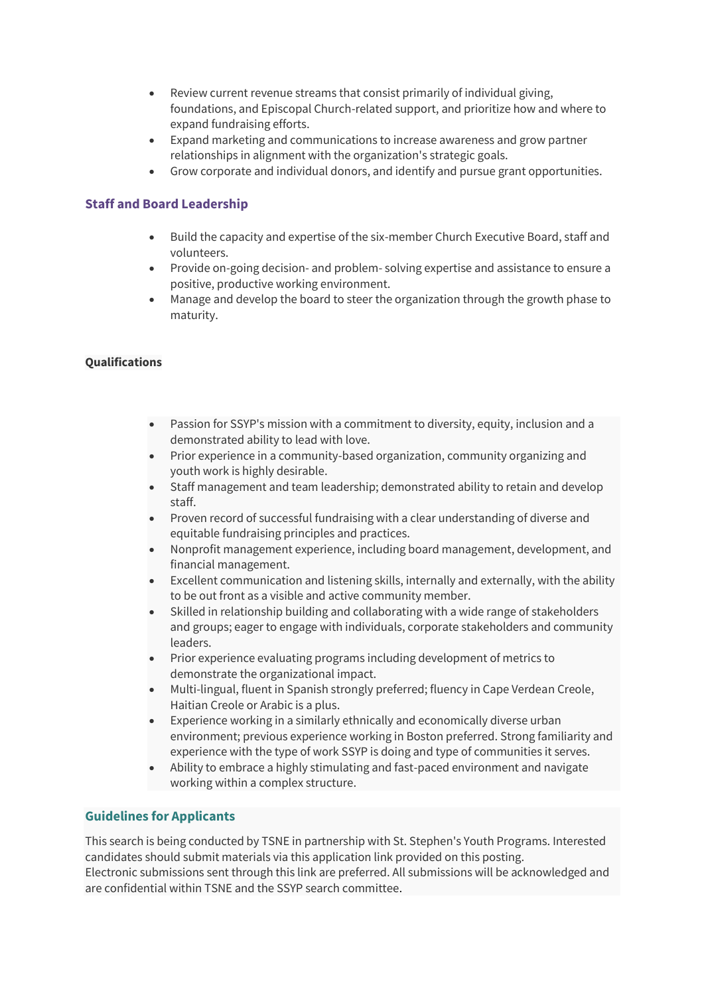- Review current revenue streams that consist primarily of individual giving, foundations, and Episcopal Church-related support, and prioritize how and where to expand fundraising efforts.
- Expand marketing and communications to increase awareness and grow partner relationships in alignment with the organization's strategic goals.
- Grow corporate and individual donors, and identify and pursue grant opportunities.

## **Staff and Board Leadership**

- Build the capacity and expertise of the six-member Church Executive Board, staff and volunteers.
- Provide on-going decision- and problem- solving expertise and assistance to ensure a positive, productive working environment.
- Manage and develop the board to steer the organization through the growth phase to maturity.

### **Qualifications**

- Passion for SSYP's mission with a commitment to diversity, equity, inclusion and a demonstrated ability to lead with love.
- Prior experience in a community-based organization, community organizing and youth work is highly desirable.
- Staff management and team leadership; demonstrated ability to retain and develop staff.
- Proven record of successful fundraising with a clear understanding of diverse and equitable fundraising principles and practices.
- Nonprofit management experience, including board management, development, and financial management.
- Excellent communication and listening skills, internally and externally, with the ability to be out front as a visible and active community member.
- Skilled in relationship building and collaborating with a wide range of stakeholders and groups; eager to engage with individuals, corporate stakeholders and community leaders.
- Prior experience evaluating programs including development of metrics to demonstrate the organizational impact.
- Multi-lingual, fluent in Spanish strongly preferred; fluency in Cape Verdean Creole, Haitian Creole or Arabic is a plus.
- Experience working in a similarly ethnically and economically diverse urban environment; previous experience working in Boston preferred. Strong familiarity and experience with the type of work SSYP is doing and type of communities it serves.
- Ability to embrace a highly stimulating and fast-paced environment and navigate working within a complex structure.

## **Guidelines for Applicants**

This search is being conducted by TSNE in partnership with St. Stephen's Youth Programs. Interested candidates should submit materials via this application link provided on this posting. Electronic submissions sent through this link are preferred. All submissions will be acknowledged and are confidential within TSNE and the SSYP search committee.